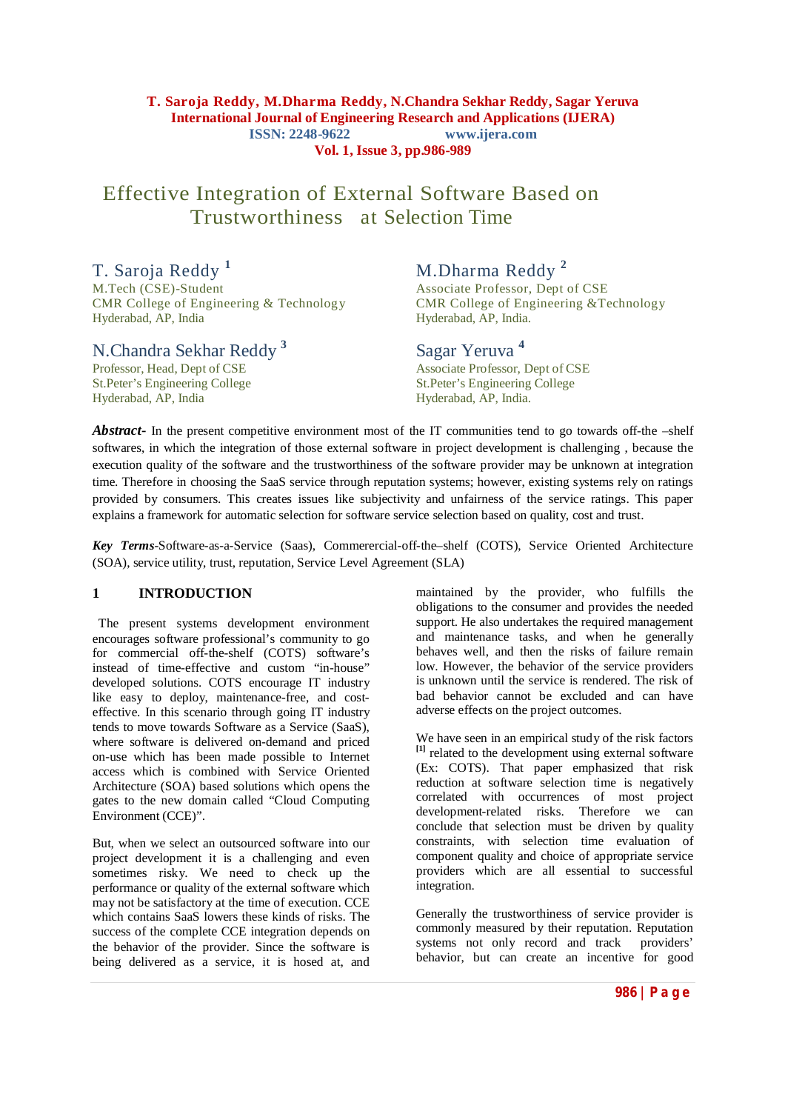#### **T. Saroja Reddy, M.Dharma Reddy, N.Chandra Sekhar Reddy, Sagar Yeruva International Journal of Engineering Research and Applications (IJERA) ISSN: 2248-9622 www.ijera.com Vol. 1, Issue 3, pp.986-989**

# Effective Integration of External Software Based on Trustworthiness at Selection Time

T. Saroja Reddy<sup>1</sup> M.Dharma Reddy<sup>2</sup><br>M.Tech (CSE)-Student Associate Professor, Dept CMR College of Engineering & Technology Hyderabad, AP, India Hyderabad, AP, India.

# N.Chandra Sekhar Reddy **<sup>3</sup>**

St.Peter's Engineering College<br>Hyderabad, AP, India

Associate Professor, Dept of CSE<br>CMR College of Engineering & Technology

## Sagar Yeruva **<sup>4</sup>**

Associate Professor, Dept of CSE<br>St.Peter's Engineering College Hyderabad, AP, India.

*Abstract***-** In the present competitive environment most of the IT communities tend to go towards off-the –shelf softwares, in which the integration of those external software in project development is challenging , because the execution quality of the software and the trustworthiness of the software provider may be unknown at integration time. Therefore in choosing the SaaS service through reputation systems; however, existing systems rely on ratings provided by consumers. This creates issues like subjectivity and unfairness of the service ratings. This paper explains a framework for automatic selection for software service selection based on quality, cost and trust.

*Key Terms*-Software-as-a-Service (Saas), Commerercial-off-the–shelf (COTS), Service Oriented Architecture (SOA), service utility, trust, reputation, Service Level Agreement (SLA)

### **1 INTRODUCTION**

 The present systems development environment encourages software professional's community to go for commercial off-the-shelf (COTS) software's instead of time-effective and custom "in-house" developed solutions. COTS encourage IT industry like easy to deploy, maintenance-free, and costeffective. In this scenario through going IT industry tends to move towards Software as a Service (SaaS), where software is delivered on-demand and priced on-use which has been made possible to Internet access which is combined with Service Oriented Architecture (SOA) based solutions which opens the gates to the new domain called "Cloud Computing Environment (CCE)".

But, when we select an outsourced software into our project development it is a challenging and even sometimes risky. We need to check up the performance or quality of the external software which may not be satisfactory at the time of execution. CCE which contains SaaS lowers these kinds of risks. The success of the complete CCE integration depends on the behavior of the provider. Since the software is being delivered as a service, it is hosed at, and

maintained by the provider, who fulfills the obligations to the consumer and provides the needed support. He also undertakes the required management and maintenance tasks, and when he generally behaves well, and then the risks of failure remain low. However, the behavior of the service providers is unknown until the service is rendered. The risk of bad behavior cannot be excluded and can have adverse effects on the project outcomes.

We have seen in an empirical study of the risk factors <sup>[1]</sup> related to the development using external software (Ex: COTS). That paper emphasized that risk reduction at software selection time is negatively correlated with occurrences of most project development-related risks. Therefore we can conclude that selection must be driven by quality constraints, with selection time evaluation of component quality and choice of appropriate service providers which are all essential to successful integration.

Generally the trustworthiness of service provider is commonly measured by their reputation. Reputation systems not only record and track providers' behavior, but can create an incentive for good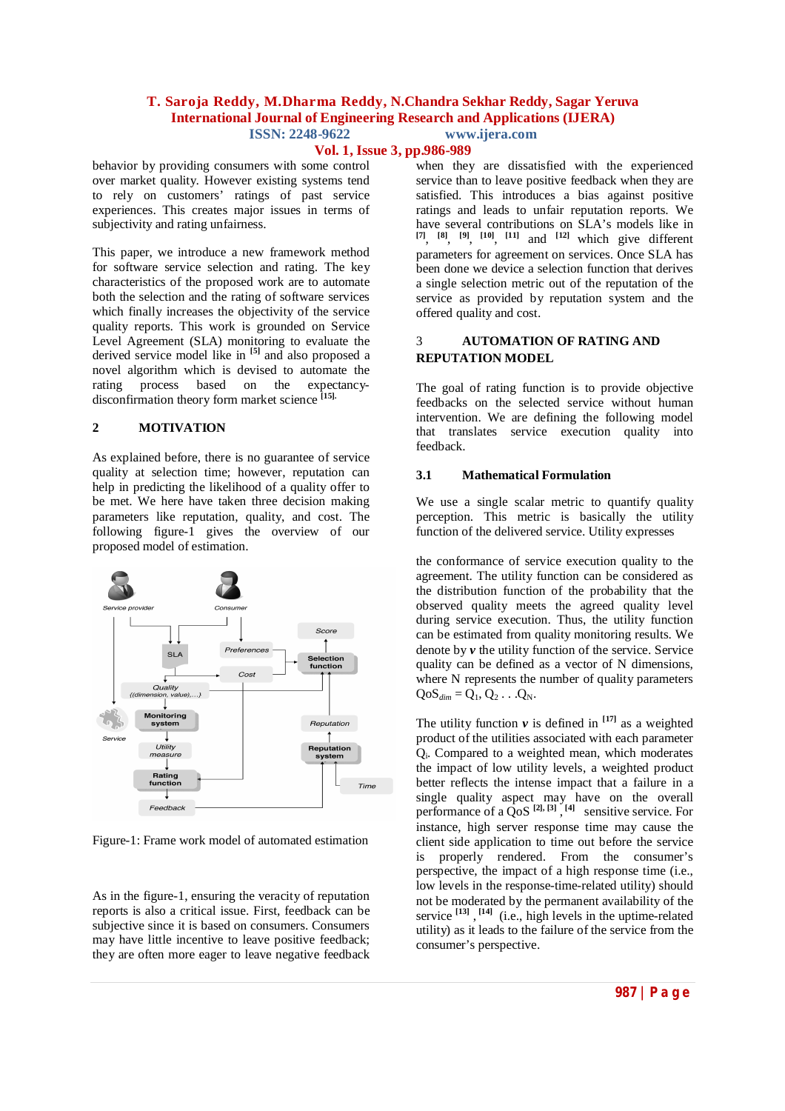#### **T. Saroja Reddy, M.Dharma Reddy, N.Chandra Sekhar Reddy, Sagar Yeruva International Journal of Engineering Research and Applications (IJERA) ISSN: 2248-9622 www.ijera.com**

#### **Vol. 1, Issue 3, pp.986-989**

behavior by providing consumers with some control over market quality. However existing systems tend to rely on customers' ratings of past service experiences. This creates major issues in terms of subjectivity and rating unfairness.

This paper, we introduce a new framework method for software service selection and rating. The key characteristics of the proposed work are to automate both the selection and the rating of software services which finally increases the objectivity of the service quality reports. This work is grounded on Service Level Agreement (SLA) monitoring to evaluate the derived service model like in **[5]** and also proposed a novel algorithm which is devised to automate the rating process based on the expectancydisconfirmation theory form market science **[15].**

#### **2 MOTIVATION**

As explained before, there is no guarantee of service quality at selection time; however, reputation can help in predicting the likelihood of a quality offer to be met. We here have taken three decision making parameters like reputation, quality, and cost. The following figure-1 gives the overview of our proposed model of estimation.



Figure-1: Frame work model of automated estimation

As in the figure-1, ensuring the veracity of reputation reports is also a critical issue. First, feedback can be subjective since it is based on consumers. Consumers may have little incentive to leave positive feedback; they are often more eager to leave negative feedback

when they are dissatisfied with the experienced service than to leave positive feedback when they are satisfied. This introduces a bias against positive ratings and leads to unfair reputation reports. We have several contributions on  $\hat{S}LA$ 's models like in **[7]** , **[8]** , **[9]** , **[10]** , **[11]** and **[12]** which give different parameters for agreement on services. Once SLA has been done we device a selection function that derives a single selection metric out of the reputation of the service as provided by reputation system and the offered quality and cost.

#### 3 **AUTOMATION OF RATING AND REPUTATION MODEL**

The goal of rating function is to provide objective feedbacks on the selected service without human intervention. We are defining the following model that translates service execution quality into feedback.

#### **3.1 Mathematical Formulation**

We use a single scalar metric to quantify quality perception. This metric is basically the utility function of the delivered service. Utility expresses

the conformance of service execution quality to the agreement. The utility function can be considered as the distribution function of the probability that the observed quality meets the agreed quality level during service execution. Thus, the utility function can be estimated from quality monitoring results. We denote by *v* the utility function of the service. Service quality can be defined as a vector of N dimensions, where N represents the number of quality parameters  $QoS$ <sub>dim</sub> =  $Q_1$ ,  $Q_2$ ... $Q_N$ .

The utility function  $v$  is defined in  $[17]$  as a weighted product of the utilities associated with each parameter Qi. Compared to a weighted mean, which moderates the impact of low utility levels, a weighted product better reflects the intense impact that a failure in a single quality aspect may have on the overall performance of a  $Q$ <sup>o</sup>S<sup>[2], [3]</sup>, <sup>[4]</sup> sensitive service. For instance, high server response time may cause the client side application to time out before the service is properly rendered. From the consumer's perspective, the impact of a high response time (i.e., low levels in the response-time-related utility) should not be moderated by the permanent availability of the service **[13]** , **[14]** (i.e., high levels in the uptime-related utility) as it leads to the failure of the service from the consumer's perspective.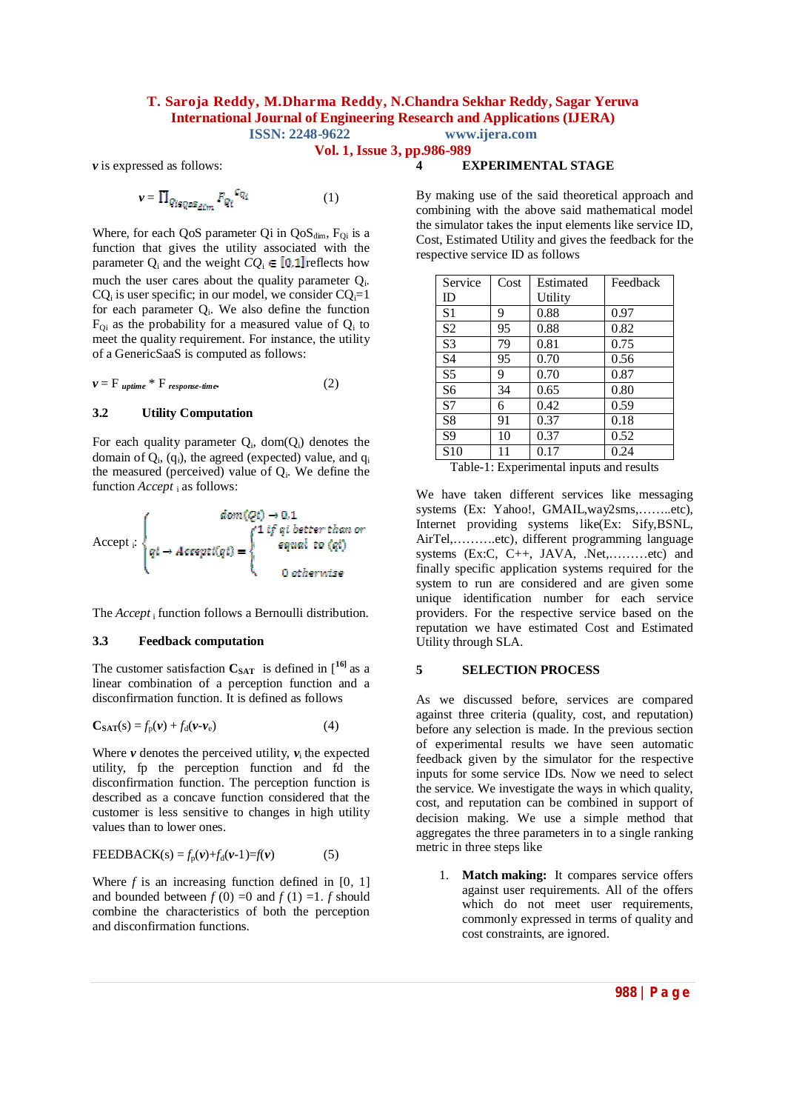#### **T. Saroja Reddy, M.Dharma Reddy, N.Chandra Sekhar Reddy, Sagar Yeruva International Journal of Engineering Research and Applications (IJERA) ISSN: 2248-9622 www.ijera.com**

**Vol. 1, Issue 3, pp.986-989**

*v* is expressed as follows:

$$
\nu = \prod_{Q_{i \in Q \circ S_{\text{dim}}} P_{Q_i}} c_{Q_i} \tag{1}
$$

Where, for each QoS parameter Qi in  $QoS_{dim}$ ,  $F_{Qi}$  is a function that gives the utility associated with the parameter  $O_i$  and the weight  $CO_i \in [0,1]$  reflects how much the user cares about the quality parameter Qi.  $CQ_i$  is user specific; in our model, we consider  $CQ_i=1$ for each parameter  $Q_i$ . We also define the function  $F_{Qi}$  as the probability for a measured value of  $Q_i$  to meet the quality requirement. For instance, the utility of a GenericSaaS is computed as follows:

$$
\mathbf{v} = \mathbf{F}_{\text{uptime}} * \mathbf{F}_{\text{response-time}}.\tag{2}
$$

#### **3.2 Utility Computation**

For each quality parameter  $Q_i$ , dom $(Q_i)$  denotes the domain of  $Q_i$ ,  $(q_i)$ , the agreed (expected) value, and  $q_i$ the measured (perceived) value of  $Q_i$ . We define the function *Accept* <sup>i</sup> as follows:

Accept <sub>i</sub>: 0 otherwise

The *Accept*<sub>i</sub> function follows a Bernoulli distribution.

#### **3.3 Feedback computation**

The customer satisfaction  $C_{SAT}$  is defined in  $\begin{bmatrix} 16 \\ 0 \end{bmatrix}$  as a linear combination of a perception function and a disconfirmation function. It is defined as follows

$$
\mathbf{C}_{\mathbf{SAT}}(\mathbf{s}) = f_{\mathbf{p}}(\mathbf{v}) + f_{\mathbf{d}}(\mathbf{v} - \mathbf{v}_{\mathbf{e}})
$$
(4)

Where  $\nu$  denotes the perceived utility,  $\nu_i$  the expected utility, fp the perception function and fd the disconfirmation function. The perception function is described as a concave function considered that the customer is less sensitive to changes in high utility values than to lower ones.

$$
\text{FEEDBACK}(s) = f_p(\mathbf{v}) + f_d(\mathbf{v} - 1) = f(\mathbf{v}) \tag{5}
$$

Where  $f$  is an increasing function defined in  $[0, 1]$ and bounded between  $f(0) = 0$  and  $f(1) = 1$ . *f* should combine the characteristics of both the perception and disconfirmation functions.

By making use of the said theoretical approach and combining with the above said mathematical model the simulator takes the input elements like service ID, Cost, Estimated Utility and gives the feedback for the respective service ID as follows

**4 EXPERIMENTAL STAGE**

| Service         | Cost | Estimated | Feedback |
|-----------------|------|-----------|----------|
| ID              |      | Utility   |          |
| S <sub>1</sub>  | 9    | 0.88      | 0.97     |
| S <sub>2</sub>  | 95   | 0.88      | 0.82     |
| S <sub>3</sub>  | 79   | 0.81      | 0.75     |
| S <sub>4</sub>  | 95   | 0.70      | 0.56     |
| S <sub>5</sub>  | 9    | 0.70      | 0.87     |
| S6              | 34   | 0.65      | 0.80     |
| S7              | 6    | 0.42      | 0.59     |
| S <sub>8</sub>  | 91   | 0.37      | 0.18     |
| S <sub>9</sub>  | 10   | 0.37      | 0.52     |
| S <sub>10</sub> | 11   | 0.17      | 0.24     |

Table-1: Experimental inputs and results

We have taken different services like messaging systems (Ex: Yahoo!, GMAIL,way2sms,........etc), Internet providing systems like(Ex: Sify,BSNL, AirTel,……….etc), different programming language systems (Ex:C, C++, JAVA, .Net,………etc) and finally specific application systems required for the system to run are considered and are given some unique identification number for each service providers. For the respective service based on the reputation we have estimated Cost and Estimated Utility through SLA.

#### **5 SELECTION PROCESS**

As we discussed before, services are compared against three criteria (quality, cost, and reputation) before any selection is made. In the previous section of experimental results we have seen automatic feedback given by the simulator for the respective inputs for some service IDs. Now we need to select the service. We investigate the ways in which quality, cost, and reputation can be combined in support of decision making. We use a simple method that aggregates the three parameters in to a single ranking metric in three steps like

1. **Match making:** It compares service offers against user requirements. All of the offers which do not meet user requirements, commonly expressed in terms of quality and cost constraints, are ignored.